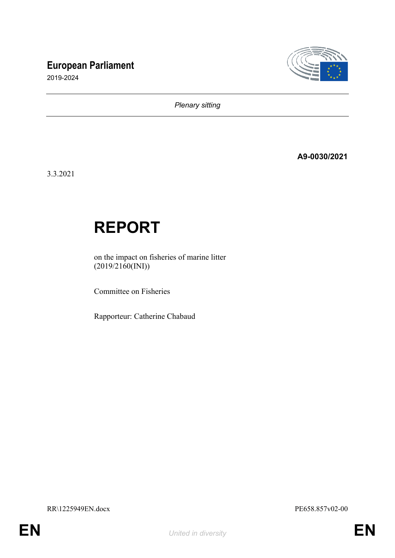# **European Parliament**

2019-2024



*Plenary sitting*

**A9-0030/2021**

3.3.2021

# **REPORT**

on the impact on fisheries of marine litter  $(2019/2160(NI))$ 

Committee on Fisheries

Rapporteur: Catherine Chabaud

RR\1225949EN.docx PE658.857v02-00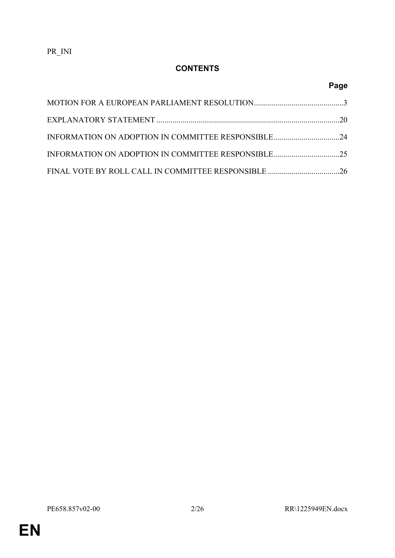# **CONTENTS**

# **Page**

| INFORMATION ON ADOPTION IN COMMITTEE RESPONSIBLE24 |  |
|----------------------------------------------------|--|
|                                                    |  |
|                                                    |  |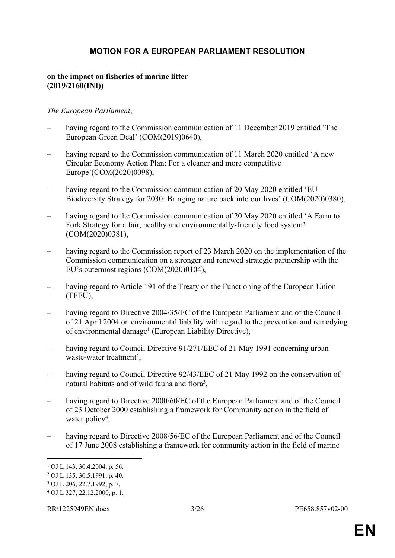### <span id="page-2-0"></span>**MOTION FOR A EUROPEAN PARLIAMENT RESOLUTION**

#### **on the impact on fisheries of marine litter (2019/2160(INI))**

#### *The European Parliament*,

- having regard to the Commission communication of 11 December 2019 entitled 'The European Green Deal' (COM(2019)0640),
- having regard to the Commission communication of 11 March 2020 entitled 'A new Circular Economy Action Plan: For a cleaner and more competitive Europe'(COM(2020)0098),
- having regard to the Commission communication of 20 May 2020 entitled 'EU Biodiversity Strategy for 2030: Bringing nature back into our lives' (COM(2020)0380),
- having regard to the Commission communication of 20 May 2020 entitled 'A Farm to Fork Strategy for a fair, healthy and environmentally-friendly food system' (COM(2020)0381),
- having regard to the Commission report of 23 March 2020 on the implementation of the Commission communication on a stronger and renewed strategic partnership with the EU's outermost regions (COM(2020)0104),
- having regard to Article 191 of the Treaty on the Functioning of the European Union (TFEU),
- having regard to Directive 2004/35/EC of the European Parliament and of the Council of 21 April 2004 on environmental liability with regard to the prevention and remedying of environmental damage<sup>1</sup> (European Liability Directive),
- having regard to Council Directive 91/271/EEC of 21 May 1991 concerning urban waste-water treatment<sup>2</sup>,
- having regard to Council Directive 92/43/EEC of 21 May 1992 on the conservation of natural habitats and of wild fauna and flora<sup>3</sup>,
- having regard to Directive 2000/60/EC of the European Parliament and of the Council of 23 October 2000 establishing a framework for Community action in the field of water policy<sup>4</sup>,
- having regard to Directive 2008/56/EC of the European Parliament and of the Council of 17 June 2008 establishing a framework for community action in the field of marine

<sup>1</sup> OJ L 143, 30.4.2004, p. 56.

<sup>2</sup> OJ L 135, 30.5.1991, p. 40.

<sup>3</sup> OJ L 206, 22.7.1992, p. 7.

<sup>4</sup> OJ L 327, 22.12.2000, p. 1.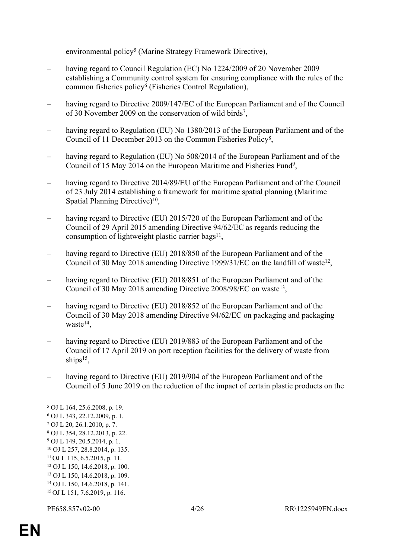environmental policy<sup>5</sup> (Marine Strategy Framework Directive),

- having regard to Council Regulation (EC) No 1224/2009 of 20 November 2009 establishing a Community control system for ensuring compliance with the rules of the common fisheries policy<sup>6</sup> (Fisheries Control Regulation),
- having regard to Directive 2009/147/EC of the European Parliament and of the Council of 30 November 2009 on the conservation of wild birds<sup>7</sup>,
- having regard to Regulation (EU) No 1380/2013 of the European Parliament and of the Council of 11 December 2013 on the Common Fisheries Policy<sup>8</sup> ,
- having regard to Regulation (EU) No 508/2014 of the European Parliament and of the Council of 15 May 2014 on the European Maritime and Fisheries Fund<sup>9</sup>,
- having regard to Directive 2014/89/EU of the European Parliament and of the Council of 23 July 2014 establishing a framework for maritime spatial planning (Maritime Spatial Planning Directive)<sup>10</sup>,
- having regard to Directive (EU) 2015/720 of the European Parliament and of the Council of 29 April 2015 amending Directive 94/62/EC as regards reducing the consumption of lightweight plastic carrier bags<sup>11</sup>,
- having regard to Directive (EU) 2018/850 of the European Parliament and of the Council of 30 May 2018 amending Directive 1999/31/EC on the landfill of waste<sup>12</sup>,
- having regard to Directive (EU) 2018/851 of the European Parliament and of the Council of 30 May 2018 amending Directive 2008/98/EC on waste<sup>13</sup>,
- having regard to Directive (EU) 2018/852 of the European Parliament and of the Council of 30 May 2018 amending Directive 94/62/EC on packaging and packaging waste<sup>14</sup>,
- having regard to Directive (EU) 2019/883 of the European Parliament and of the Council of 17 April 2019 on port reception facilities for the delivery of waste from ships<sup>15</sup>,
- having regard to Directive (EU) 2019/904 of the European Parliament and of the Council of 5 June 2019 on the reduction of the impact of certain plastic products on the

- <sup>12</sup> OJ L 150, 14.6.2018, p. 100.
- <sup>13</sup> OJ L 150, 14.6.2018, p. 109.
- <sup>14</sup> OJ L 150, 14.6.2018, p. 141. 15 OJ L 151, 7.6.2019, p. 116.
- 

<sup>5</sup> OJ L 164, 25.6.2008, p. 19.

<sup>6</sup> OJ L 343, 22.12.2009, p. 1.

<sup>7</sup> OJ L 20, 26.1.2010, p. 7.

<sup>8</sup> OJ L 354, 28.12.2013, p. 22.

<sup>9</sup> OJ L 149, 20.5.2014, p. 1.

<sup>10</sup> OJ L 257, 28.8.2014, p. 135.

<sup>11</sup>OJ L 115, 6.5.2015, p. 11.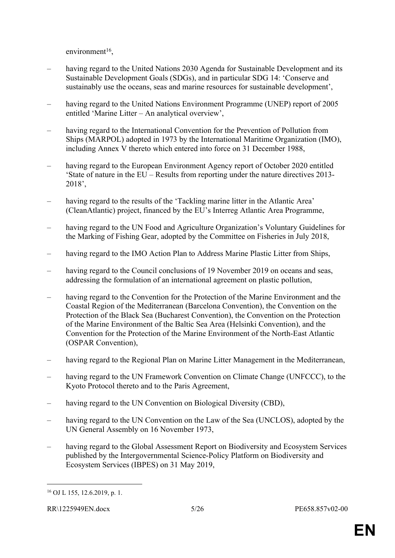$environment<sup>16</sup>$ ,

- having regard to the United Nations 2030 Agenda for Sustainable Development and its Sustainable Development Goals (SDGs), and in particular SDG 14: 'Conserve and sustainably use the oceans, seas and marine resources for sustainable development',
- having regard to the United Nations Environment Programme (UNEP) report of 2005 entitled 'Marine Litter – An analytical overview',
- having regard to the International Convention for the Prevention of Pollution from Ships (MARPOL) adopted in 1973 by the International Maritime Organization (IMO), including Annex V thereto which entered into force on 31 December 1988,
- having regard to the European Environment Agency report of October 2020 entitled 'State of nature in the EU – Results from reporting under the nature directives 2013- 2018',
- having regard to the results of the 'Tackling marine litter in the Atlantic Area' (CleanAtlantic) project, financed by the EU's Interreg Atlantic Area Programme,
- having regard to the UN Food and Agriculture Organization's Voluntary Guidelines for the Marking of Fishing Gear, adopted by the Committee on Fisheries in July 2018,
- having regard to the IMO Action Plan to Address Marine Plastic Litter from Ships,
- having regard to the Council conclusions of 19 November 2019 on oceans and seas, addressing the formulation of an international agreement on plastic pollution,
- having regard to the Convention for the Protection of the Marine Environment and the Coastal Region of the Mediterranean (Barcelona Convention), the Convention on the Protection of the Black Sea (Bucharest Convention), the Convention on the Protection of the Marine Environment of the Baltic Sea Area (Helsinki Convention), and the Convention for the Protection of the Marine Environment of the North-East Atlantic (OSPAR Convention),
- having regard to the Regional Plan on Marine Litter Management in the Mediterranean,
- having regard to the UN Framework Convention on Climate Change (UNFCCC), to the Kyoto Protocol thereto and to the Paris Agreement,
- having regard to the UN Convention on Biological Diversity (CBD).
- having regard to the UN Convention on the Law of the Sea (UNCLOS), adopted by the UN General Assembly on 16 November 1973,
- having regard to the Global Assessment Report on Biodiversity and Ecosystem Services published by the Intergovernmental Science-Policy Platform on Biodiversity and Ecosystem Services (IBPES) on 31 May 2019,

<sup>16</sup> OJ L 155, 12.6.2019, p. 1.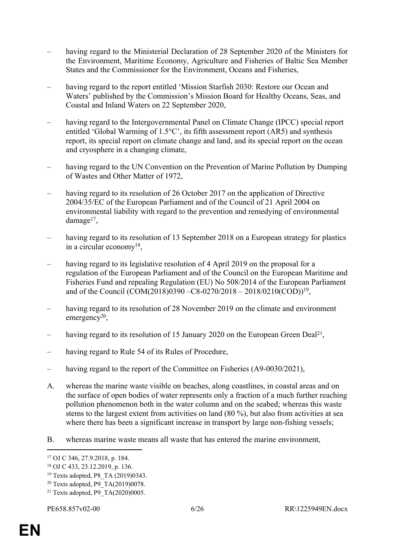- having regard to the Ministerial Declaration of 28 September 2020 of the Ministers for the Environment, Maritime Economy, Agriculture and Fisheries of Baltic Sea Member States and the Commissioner for the Environment, Oceans and Fisheries,
- having regard to the report entitled 'Mission Starfish 2030: Restore our Ocean and Waters' published by the Commission's Mission Board for Healthy Oceans, Seas, and Coastal and Inland Waters on 22 September 2020,
- having regard to the Intergovernmental Panel on Climate Change (IPCC) special report entitled 'Global Warming of 1.5°C', its fifth assessment report (AR5) and synthesis report, its special report on climate change and land, and its special report on the ocean and cryosphere in a changing climate,
- having regard to the UN Convention on the Prevention of Marine Pollution by Dumping of Wastes and Other Matter of 1972,
- having regard to its resolution of 26 October 2017 on the application of Directive 2004/35/EC of the European Parliament and of the Council of 21 April 2004 on environmental liability with regard to the prevention and remedying of environmental damage<sup>17</sup>,
- having regard to its resolution of 13 September 2018 on a European strategy for plastics in a circular economy<sup>18</sup>,
- having regard to its legislative resolution of 4 April 2019 on the proposal for a regulation of the European Parliament and of the Council on the European Maritime and Fisheries Fund and repealing Regulation (EU) No 508/2014 of the European Parliament and of the Council (COM(2018)0390 –C8-0270/2018 – 2018/0210(COD))<sup>19</sup> ,
- having regard to its resolution of 28 November 2019 on the climate and environment emergency<sup>20</sup>,
- having regard to its resolution of 15 January 2020 on the European Green Deal<sup>21</sup>,
- having regard to Rule 54 of its Rules of Procedure,
- having regard to the report of the Committee on Fisheries (A9-0030/2021),
- A. whereas the marine waste visible on beaches, along coastlines, in coastal areas and on the surface of open bodies of water represents only a fraction of a much further reaching pollution phenomenon both in the water column and on the seabed; whereas this waste stems to the largest extent from activities on land (80 %), but also from activities at sea where there has been a significant increase in transport by large non-fishing vessels;
- B. whereas marine waste means all waste that has entered the marine environment,

<sup>17</sup> OJ C 346, 27.9.2018, p. 184.

<sup>18</sup> OJ C 433, 23.12.2019, p. 136.

<sup>&</sup>lt;sup>19</sup> Texts adopted, P8 TA (2019)0343.

<sup>20</sup> Texts adopted, P9\_TA(2019)0078.

<sup>&</sup>lt;sup>21</sup> Texts adopted, P9\_TA(2020)0005.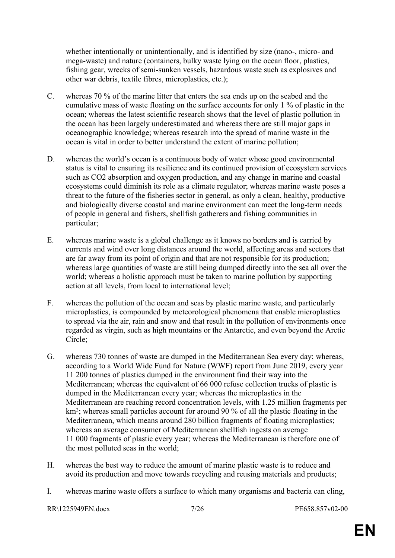whether intentionally or unintentionally, and is identified by size (nano-, micro- and mega-waste) and nature (containers, bulky waste lying on the ocean floor, plastics, fishing gear, wrecks of semi-sunken vessels, hazardous waste such as explosives and other war debris, textile fibres, microplastics, etc.);

- C. whereas 70 % of the marine litter that enters the sea ends up on the seabed and the cumulative mass of waste floating on the surface accounts for only 1 % of plastic in the ocean; whereas the latest scientific research shows that the level of plastic pollution in the ocean has been largely underestimated and whereas there are still major gaps in oceanographic knowledge; whereas research into the spread of marine waste in the ocean is vital in order to better understand the extent of marine pollution;
- D. whereas the world's ocean is a continuous body of water whose good environmental status is vital to ensuring its resilience and its continued provision of ecosystem services such as CO2 absorption and oxygen production, and any change in marine and coastal ecosystems could diminish its role as a climate regulator; whereas marine waste poses a threat to the future of the fisheries sector in general, as only a clean, healthy, productive and biologically diverse coastal and marine environment can meet the long-term needs of people in general and fishers, shellfish gatherers and fishing communities in particular;
- E. whereas marine waste is a global challenge as it knows no borders and is carried by currents and wind over long distances around the world, affecting areas and sectors that are far away from its point of origin and that are not responsible for its production; whereas large quantities of waste are still being dumped directly into the sea all over the world; whereas a holistic approach must be taken to marine pollution by supporting action at all levels, from local to international level;
- F. whereas the pollution of the ocean and seas by plastic marine waste, and particularly microplastics, is compounded by meteorological phenomena that enable microplastics to spread via the air, rain and snow and that result in the pollution of environments once regarded as virgin, such as high mountains or the Antarctic, and even beyond the Arctic Circle;
- G. whereas 730 tonnes of waste are dumped in the Mediterranean Sea every day; whereas, according to a World Wide Fund for Nature (WWF) report from June 2019, every year 11 200 tonnes of plastics dumped in the environment find their way into the Mediterranean; whereas the equivalent of 66 000 refuse collection trucks of plastic is dumped in the Mediterranean every year; whereas the microplastics in the Mediterranean are reaching record concentration levels, with 1.25 million fragments per km<sup>2</sup> ; whereas small particles account for around 90 % of all the plastic floating in the Mediterranean, which means around 280 billion fragments of floating microplastics; whereas an average consumer of Mediterranean shellfish ingests on average 11 000 fragments of plastic every year; whereas the Mediterranean is therefore one of the most polluted seas in the world;
- H. whereas the best way to reduce the amount of marine plastic waste is to reduce and avoid its production and move towards recycling and reusing materials and products;
- I. whereas marine waste offers a surface to which many organisms and bacteria can cling,

RR\1225949EN.docx 7/26 PE658.857v02-00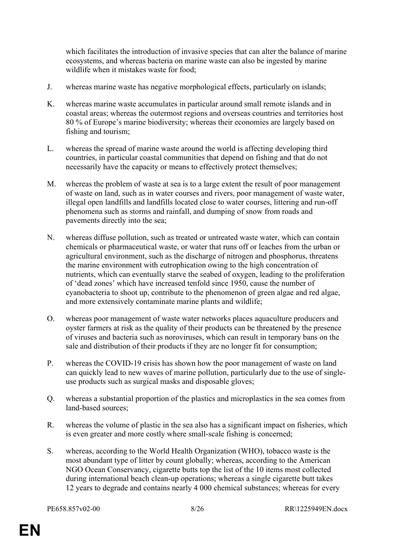which facilitates the introduction of invasive species that can alter the balance of marine ecosystems, and whereas bacteria on marine waste can also be ingested by marine wildlife when it mistakes waste for food;

- J. whereas marine waste has negative morphological effects, particularly on islands;
- K. whereas marine waste accumulates in particular around small remote islands and in coastal areas; whereas the outermost regions and overseas countries and territories host 80 % of Europe's marine biodiversity; whereas their economies are largely based on fishing and tourism;
- L. whereas the spread of marine waste around the world is affecting developing third countries, in particular coastal communities that depend on fishing and that do not necessarily have the capacity or means to effectively protect themselves;
- M. whereas the problem of waste at sea is to a large extent the result of poor management of waste on land, such as in water courses and rivers, poor management of waste water, illegal open landfills and landfills located close to water courses, littering and run-off phenomena such as storms and rainfall, and dumping of snow from roads and pavements directly into the sea;
- N. whereas diffuse pollution, such as treated or untreated waste water, which can contain chemicals or pharmaceutical waste, or water that runs off or leaches from the urban or agricultural environment, such as the discharge of nitrogen and phosphorus, threatens the marine environment with eutrophication owing to the high concentration of nutrients, which can eventually starve the seabed of oxygen, leading to the proliferation of 'dead zones' which have increased tenfold since 1950, cause the number of cyanobacteria to shoot up, contribute to the phenomenon of green algae and red algae, and more extensively contaminate marine plants and wildlife;
- O. whereas poor management of waste water networks places aquaculture producers and oyster farmers at risk as the quality of their products can be threatened by the presence of viruses and bacteria such as noroviruses, which can result in temporary bans on the sale and distribution of their products if they are no longer fit for consumption;
- P. whereas the COVID-19 crisis has shown how the poor management of waste on land can quickly lead to new waves of marine pollution, particularly due to the use of singleuse products such as surgical masks and disposable gloves;
- Q. whereas a substantial proportion of the plastics and microplastics in the sea comes from land-based sources;
- R. whereas the volume of plastic in the sea also has a significant impact on fisheries, which is even greater and more costly where small-scale fishing is concerned;
- S. whereas, according to the World Health Organization (WHO), tobacco waste is the most abundant type of litter by count globally; whereas, according to the American NGO Ocean Conservancy, cigarette butts top the list of the 10 items most collected during international beach clean-up operations; whereas a single cigarette butt takes 12 years to degrade and contains nearly 4 000 chemical substances; whereas for every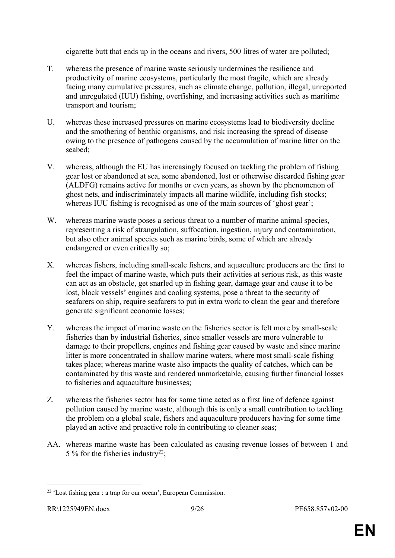cigarette butt that ends up in the oceans and rivers, 500 litres of water are polluted;

- T. whereas the presence of marine waste seriously undermines the resilience and productivity of marine ecosystems, particularly the most fragile, which are already facing many cumulative pressures, such as climate change, pollution, illegal, unreported and unregulated (IUU) fishing, overfishing, and increasing activities such as maritime transport and tourism;
- U. whereas these increased pressures on marine ecosystems lead to biodiversity decline and the smothering of benthic organisms, and risk increasing the spread of disease owing to the presence of pathogens caused by the accumulation of marine litter on the seabed;
- V. whereas, although the EU has increasingly focused on tackling the problem of fishing gear lost or abandoned at sea, some abandoned, lost or otherwise discarded fishing gear (ALDFG) remains active for months or even years, as shown by the phenomenon of ghost nets, and indiscriminately impacts all marine wildlife, including fish stocks; whereas IUU fishing is recognised as one of the main sources of 'ghost gear';
- W. whereas marine waste poses a serious threat to a number of marine animal species, representing a risk of strangulation, suffocation, ingestion, injury and contamination, but also other animal species such as marine birds, some of which are already endangered or even critically so;
- X. whereas fishers, including small-scale fishers, and aquaculture producers are the first to feel the impact of marine waste, which puts their activities at serious risk, as this waste can act as an obstacle, get snarled up in fishing gear, damage gear and cause it to be lost, block vessels' engines and cooling systems, pose a threat to the security of seafarers on ship, require seafarers to put in extra work to clean the gear and therefore generate significant economic losses;
- Y. whereas the impact of marine waste on the fisheries sector is felt more by small-scale fisheries than by industrial fisheries, since smaller vessels are more vulnerable to damage to their propellers, engines and fishing gear caused by waste and since marine litter is more concentrated in shallow marine waters, where most small-scale fishing takes place; whereas marine waste also impacts the quality of catches, which can be contaminated by this waste and rendered unmarketable, causing further financial losses to fisheries and aquaculture businesses;
- Z. whereas the fisheries sector has for some time acted as a first line of defence against pollution caused by marine waste, although this is only a small contribution to tackling the problem on a global scale, fishers and aquaculture producers having for some time played an active and proactive role in contributing to cleaner seas;
- AA. whereas marine waste has been calculated as causing revenue losses of between 1 and 5 % for the fisheries industry<sup>22</sup>;

<sup>22</sup> 'Lost fishing gear : a trap for our ocean', European Commission.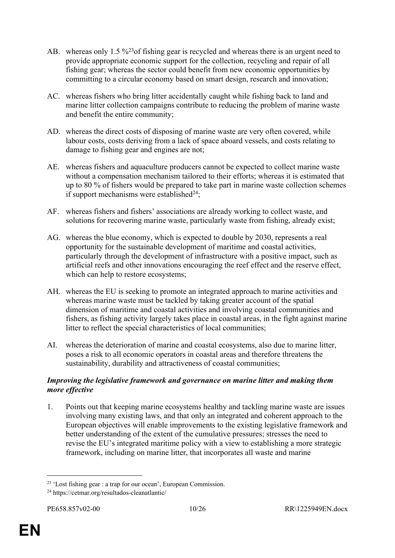- AB. whereas only 1.5 %<sup>23</sup> of fishing gear is recycled and whereas there is an urgent need to provide appropriate economic support for the collection, recycling and repair of all fishing gear; whereas the sector could benefit from new economic opportunities by committing to a circular economy based on smart design, research and innovation;
- AC. whereas fishers who bring litter accidentally caught while fishing back to land and marine litter collection campaigns contribute to reducing the problem of marine waste and benefit the entire community;
- AD. whereas the direct costs of disposing of marine waste are very often covered, while labour costs, costs deriving from a lack of space aboard vessels, and costs relating to damage to fishing gear and engines are not;
- AE. whereas fishers and aquaculture producers cannot be expected to collect marine waste without a compensation mechanism tailored to their efforts; whereas it is estimated that up to 80 % of fishers would be prepared to take part in marine waste collection schemes if support mechanisms were established $24$ :
- AF. whereas fishers and fishers' associations are already working to collect waste, and solutions for recovering marine waste, particularly waste from fishing, already exist;
- AG. whereas the blue economy, which is expected to double by 2030, represents a real opportunity for the sustainable development of maritime and coastal activities, particularly through the development of infrastructure with a positive impact, such as artificial reefs and other innovations encouraging the reef effect and the reserve effect, which can help to restore ecosystems;
- AH. whereas the EU is seeking to promote an integrated approach to marine activities and whereas marine waste must be tackled by taking greater account of the spatial dimension of maritime and coastal activities and involving coastal communities and fishers, as fishing activity largely takes place in coastal areas, in the fight against marine litter to reflect the special characteristics of local communities;
- AI. whereas the deterioration of marine and coastal ecosystems, also due to marine litter, poses a risk to all economic operators in coastal areas and therefore threatens the sustainability, durability and attractiveness of coastal communities;

#### *Improving the legislative framework and governance on marine litter and making them more effective*

1. Points out that keeping marine ecosystems healthy and tackling marine waste are issues involving many existing laws, and that only an integrated and coherent approach to the European objectives will enable improvements to the existing legislative framework and better understanding of the extent of the cumulative pressures; stresses the need to revise the EU's integrated maritime policy with a view to establishing a more strategic framework, including on marine litter, that incorporates all waste and marine

<sup>23</sup> 'Lost fishing gear : a trap for our ocean', European Commission.

<sup>24</sup> https://cetmar.org/resultados-cleanatlantic/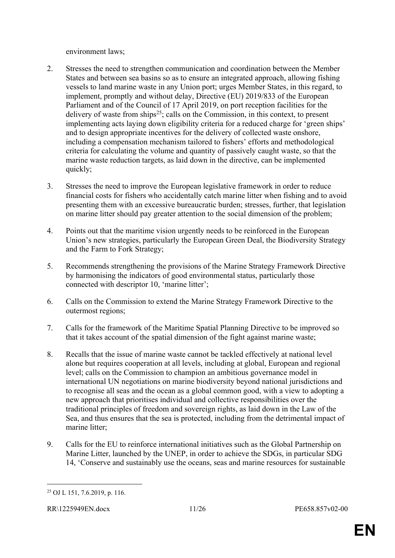environment laws;

- 2. Stresses the need to strengthen communication and coordination between the Member States and between sea basins so as to ensure an integrated approach, allowing fishing vessels to land marine waste in any Union port; urges Member States, in this regard, to implement, promptly and without delay, Directive (EU) 2019/833 of the European Parliament and of the Council of 17 April 2019, on port reception facilities for the delivery of waste from ships<sup>25</sup>; calls on the Commission, in this context, to present implementing acts laying down eligibility criteria for a reduced charge for 'green ships' and to design appropriate incentives for the delivery of collected waste onshore, including a compensation mechanism tailored to fishers' efforts and methodological criteria for calculating the volume and quantity of passively caught waste, so that the marine waste reduction targets, as laid down in the directive, can be implemented quickly;
- 3. Stresses the need to improve the European legislative framework in order to reduce financial costs for fishers who accidentally catch marine litter when fishing and to avoid presenting them with an excessive bureaucratic burden; stresses, further, that legislation on marine litter should pay greater attention to the social dimension of the problem;
- 4. Points out that the maritime vision urgently needs to be reinforced in the European Union's new strategies, particularly the European Green Deal, the Biodiversity Strategy and the Farm to Fork Strategy;
- 5. Recommends strengthening the provisions of the Marine Strategy Framework Directive by harmonising the indicators of good environmental status, particularly those connected with descriptor 10, 'marine litter';
- 6. Calls on the Commission to extend the Marine Strategy Framework Directive to the outermost regions;
- 7. Calls for the framework of the Maritime Spatial Planning Directive to be improved so that it takes account of the spatial dimension of the fight against marine waste;
- 8. Recalls that the issue of marine waste cannot be tackled effectively at national level alone but requires cooperation at all levels, including at global, European and regional level; calls on the Commission to champion an ambitious governance model in international UN negotiations on marine biodiversity beyond national jurisdictions and to recognise all seas and the ocean as a global common good, with a view to adopting a new approach that prioritises individual and collective responsibilities over the traditional principles of freedom and sovereign rights, as laid down in the Law of the Sea, and thus ensures that the sea is protected, including from the detrimental impact of marine litter;
- 9. Calls for the EU to reinforce international initiatives such as the Global Partnership on Marine Litter, launched by the UNEP, in order to achieve the SDGs, in particular SDG 14, 'Conserve and sustainably use the oceans, seas and marine resources for sustainable

<sup>25</sup> OJ L 151, 7.6.2019, p. 116.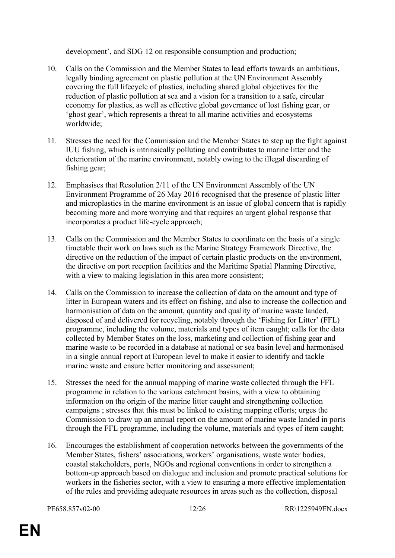development', and SDG 12 on responsible consumption and production;

- 10. Calls on the Commission and the Member States to lead efforts towards an ambitious, legally binding agreement on plastic pollution at the UN Environment Assembly covering the full lifecycle of plastics, including shared global objectives for the reduction of plastic pollution at sea and a vision for a transition to a safe, circular economy for plastics, as well as effective global governance of lost fishing gear, or 'ghost gear', which represents a threat to all marine activities and ecosystems worldwide;
- 11. Stresses the need for the Commission and the Member States to step up the fight against IUU fishing, which is intrinsically polluting and contributes to marine litter and the deterioration of the marine environment, notably owing to the illegal discarding of fishing gear;
- 12. Emphasises that Resolution 2/11 of the UN Environment Assembly of the UN Environment Programme of 26 May 2016 recognised that the presence of plastic litter and microplastics in the marine environment is an issue of global concern that is rapidly becoming more and more worrying and that requires an urgent global response that incorporates a product life-cycle approach;
- 13. Calls on the Commission and the Member States to coordinate on the basis of a single timetable their work on laws such as the Marine Strategy Framework Directive, the directive on the reduction of the impact of certain plastic products on the environment, the directive on port reception facilities and the Maritime Spatial Planning Directive, with a view to making legislation in this area more consistent;
- 14. Calls on the Commission to increase the collection of data on the amount and type of litter in European waters and its effect on fishing, and also to increase the collection and harmonisation of data on the amount, quantity and quality of marine waste landed, disposed of and delivered for recycling, notably through the 'Fishing for Litter' (FFL) programme, including the volume, materials and types of item caught; calls for the data collected by Member States on the loss, marketing and collection of fishing gear and marine waste to be recorded in a database at national or sea basin level and harmonised in a single annual report at European level to make it easier to identify and tackle marine waste and ensure better monitoring and assessment;
- 15. Stresses the need for the annual mapping of marine waste collected through the FFL programme in relation to the various catchment basins, with a view to obtaining information on the origin of the marine litter caught and strengthening collection campaigns ; stresses that this must be linked to existing mapping efforts; urges the Commission to draw up an annual report on the amount of marine waste landed in ports through the FFL programme, including the volume, materials and types of item caught;
- 16. Encourages the establishment of cooperation networks between the governments of the Member States, fishers' associations, workers' organisations, waste water bodies, coastal stakeholders, ports, NGOs and regional conventions in order to strengthen a bottom-up approach based on dialogue and inclusion and promote practical solutions for workers in the fisheries sector, with a view to ensuring a more effective implementation of the rules and providing adequate resources in areas such as the collection, disposal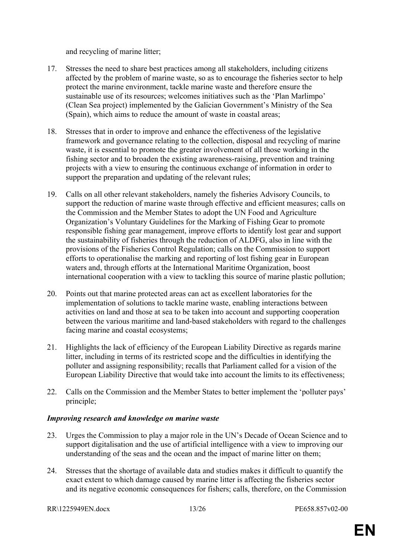and recycling of marine litter;

- 17. Stresses the need to share best practices among all stakeholders, including citizens affected by the problem of marine waste, so as to encourage the fisheries sector to help protect the marine environment, tackle marine waste and therefore ensure the sustainable use of its resources; welcomes initiatives such as the 'Plan Marlimpo' (Clean Sea project) implemented by the Galician Government's Ministry of the Sea (Spain), which aims to reduce the amount of waste in coastal areas;
- 18. Stresses that in order to improve and enhance the effectiveness of the legislative framework and governance relating to the collection, disposal and recycling of marine waste, it is essential to promote the greater involvement of all those working in the fishing sector and to broaden the existing awareness-raising, prevention and training projects with a view to ensuring the continuous exchange of information in order to support the preparation and updating of the relevant rules;
- 19. Calls on all other relevant stakeholders, namely the fisheries Advisory Councils, to support the reduction of marine waste through effective and efficient measures; calls on the Commission and the Member States to adopt the UN Food and Agriculture Organization's Voluntary Guidelines for the Marking of Fishing Gear to promote responsible fishing gear management, improve efforts to identify lost gear and support the sustainability of fisheries through the reduction of ALDFG, also in line with the provisions of the Fisheries Control Regulation; calls on the Commission to support efforts to operationalise the marking and reporting of lost fishing gear in European waters and, through efforts at the International Maritime Organization, boost international cooperation with a view to tackling this source of marine plastic pollution;
- 20. Points out that marine protected areas can act as excellent laboratories for the implementation of solutions to tackle marine waste, enabling interactions between activities on land and those at sea to be taken into account and supporting cooperation between the various maritime and land-based stakeholders with regard to the challenges facing marine and coastal ecosystems;
- 21. Highlights the lack of efficiency of the European Liability Directive as regards marine litter, including in terms of its restricted scope and the difficulties in identifying the polluter and assigning responsibility; recalls that Parliament called for a vision of the European Liability Directive that would take into account the limits to its effectiveness;
- 22. Calls on the Commission and the Member States to better implement the 'polluter pays' principle;

#### *Improving research and knowledge on marine waste*

- 23. Urges the Commission to play a major role in the UN's Decade of Ocean Science and to support digitalisation and the use of artificial intelligence with a view to improving our understanding of the seas and the ocean and the impact of marine litter on them;
- 24. Stresses that the shortage of available data and studies makes it difficult to quantify the exact extent to which damage caused by marine litter is affecting the fisheries sector and its negative economic consequences for fishers; calls, therefore, on the Commission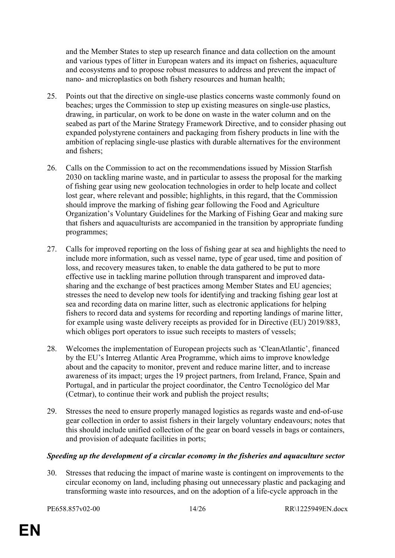and the Member States to step up research finance and data collection on the amount and various types of litter in European waters and its impact on fisheries, aquaculture and ecosystems and to propose robust measures to address and prevent the impact of nano- and microplastics on both fishery resources and human health;

- 25. Points out that the directive on single-use plastics concerns waste commonly found on beaches; urges the Commission to step up existing measures on single-use plastics, drawing, in particular, on work to be done on waste in the water column and on the seabed as part of the Marine Strategy Framework Directive, and to consider phasing out expanded polystyrene containers and packaging from fishery products in line with the ambition of replacing single-use plastics with durable alternatives for the environment and fishers;
- 26. Calls on the Commission to act on the recommendations issued by Mission Starfish 2030 on tackling marine waste, and in particular to assess the proposal for the marking of fishing gear using new geolocation technologies in order to help locate and collect lost gear, where relevant and possible; highlights, in this regard, that the Commission should improve the marking of fishing gear following the Food and Agriculture Organization's Voluntary Guidelines for the Marking of Fishing Gear and making sure that fishers and aquaculturists are accompanied in the transition by appropriate funding programmes;
- 27. Calls for improved reporting on the loss of fishing gear at sea and highlights the need to include more information, such as vessel name, type of gear used, time and position of loss, and recovery measures taken, to enable the data gathered to be put to more effective use in tackling marine pollution through transparent and improved datasharing and the exchange of best practices among Member States and EU agencies; stresses the need to develop new tools for identifying and tracking fishing gear lost at sea and recording data on marine litter, such as electronic applications for helping fishers to record data and systems for recording and reporting landings of marine litter, for example using waste delivery receipts as provided for in Directive (EU) 2019/883, which obliges port operators to issue such receipts to masters of vessels;
- 28. Welcomes the implementation of European projects such as 'CleanAtlantic', financed by the EU's Interreg Atlantic Area Programme, which aims to improve knowledge about and the capacity to monitor, prevent and reduce marine litter, and to increase awareness of its impact; urges the 19 project partners, from Ireland, France, Spain and Portugal, and in particular the project coordinator, the Centro Tecnológico del Mar (Cetmar), to continue their work and publish the project results;
- 29. Stresses the need to ensure properly managed logistics as regards waste and end-of-use gear collection in order to assist fishers in their largely voluntary endeavours; notes that this should include unified collection of the gear on board vessels in bags or containers, and provision of adequate facilities in ports;

#### *Speeding up the development of a circular economy in the fisheries and aquaculture sector*

30. Stresses that reducing the impact of marine waste is contingent on improvements to the circular economy on land, including phasing out unnecessary plastic and packaging and transforming waste into resources, and on the adoption of a life-cycle approach in the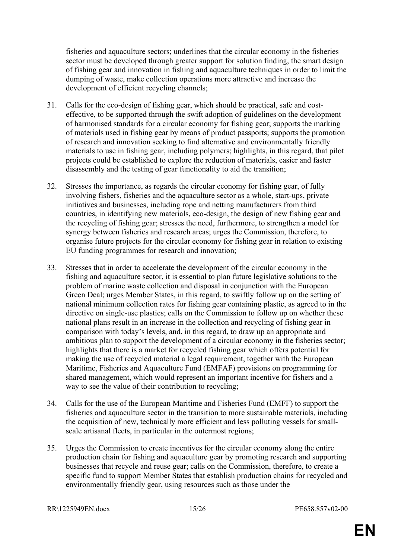fisheries and aquaculture sectors; underlines that the circular economy in the fisheries sector must be developed through greater support for solution finding, the smart design of fishing gear and innovation in fishing and aquaculture techniques in order to limit the dumping of waste, make collection operations more attractive and increase the development of efficient recycling channels;

- 31. Calls for the eco-design of fishing gear, which should be practical, safe and costeffective, to be supported through the swift adoption of guidelines on the development of harmonised standards for a circular economy for fishing gear; supports the marking of materials used in fishing gear by means of product passports; supports the promotion of research and innovation seeking to find alternative and environmentally friendly materials to use in fishing gear, including polymers; highlights, in this regard, that pilot projects could be established to explore the reduction of materials, easier and faster disassembly and the testing of gear functionality to aid the transition;
- 32. Stresses the importance, as regards the circular economy for fishing gear, of fully involving fishers, fisheries and the aquaculture sector as a whole, start-ups, private initiatives and businesses, including rope and netting manufacturers from third countries, in identifying new materials, eco-design, the design of new fishing gear and the recycling of fishing gear; stresses the need, furthermore, to strengthen a model for synergy between fisheries and research areas; urges the Commission, therefore, to organise future projects for the circular economy for fishing gear in relation to existing EU funding programmes for research and innovation;
- 33. Stresses that in order to accelerate the development of the circular economy in the fishing and aquaculture sector, it is essential to plan future legislative solutions to the problem of marine waste collection and disposal in conjunction with the European Green Deal; urges Member States, in this regard, to swiftly follow up on the setting of national minimum collection rates for fishing gear containing plastic, as agreed to in the directive on single-use plastics; calls on the Commission to follow up on whether these national plans result in an increase in the collection and recycling of fishing gear in comparison with today's levels, and, in this regard, to draw up an appropriate and ambitious plan to support the development of a circular economy in the fisheries sector; highlights that there is a market for recycled fishing gear which offers potential for making the use of recycled material a legal requirement, together with the European Maritime, Fisheries and Aquaculture Fund (EMFAF) provisions on programming for shared management, which would represent an important incentive for fishers and a way to see the value of their contribution to recycling;
- 34. Calls for the use of the European Maritime and Fisheries Fund (EMFF) to support the fisheries and aquaculture sector in the transition to more sustainable materials, including the acquisition of new, technically more efficient and less polluting vessels for smallscale artisanal fleets, in particular in the outermost regions;
- 35. Urges the Commission to create incentives for the circular economy along the entire production chain for fishing and aquaculture gear by promoting research and supporting businesses that recycle and reuse gear; calls on the Commission, therefore, to create a specific fund to support Member States that establish production chains for recycled and environmentally friendly gear, using resources such as those under the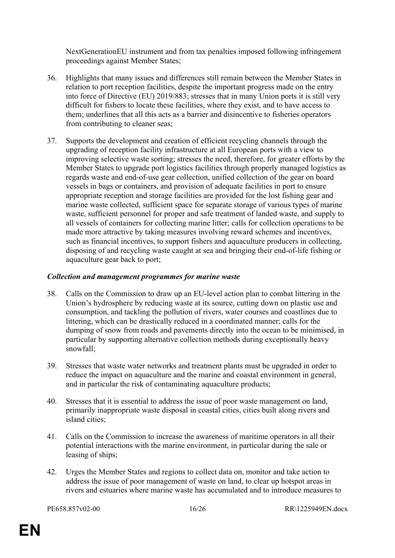NextGenerationEU instrument and from tax penalties imposed following infringement proceedings against Member States;

- 36. Highlights that many issues and differences still remain between the Member States in relation to port reception facilities, despite the important progress made on the entry into force of Directive (EU) 2019/883; stresses that in many Union ports it is still very difficult for fishers to locate these facilities, where they exist, and to have access to them; underlines that all this acts as a barrier and disincentive to fisheries operators from contributing to cleaner seas;
- 37. Supports the development and creation of efficient recycling channels through the upgrading of reception facility infrastructure at all European ports with a view to improving selective waste sorting; stresses the need, therefore, for greater efforts by the Member States to upgrade port logistics facilities through properly managed logistics as regards waste and end-of-use gear collection, unified collection of the gear on board vessels in bags or containers, and provision of adequate facilities in port to ensure appropriate reception and storage facilities are provided for the lost fishing gear and marine waste collected, sufficient space for separate storage of various types of marine waste, sufficient personnel for proper and safe treatment of landed waste, and supply to all vessels of containers for collecting marine litter; calls for collection operations to be made more attractive by taking measures involving reward schemes and incentives, such as financial incentives, to support fishers and aquaculture producers in collecting, disposing of and recycling waste caught at sea and bringing their end-of-life fishing or aquaculture gear back to port;

#### *Collection and management programmes for marine waste*

- 38. Calls on the Commission to draw up an EU-level action plan to combat littering in the Union's hydrosphere by reducing waste at its source, cutting down on plastic use and consumption, and tackling the pollution of rivers, water courses and coastlines due to littering, which can be drastically reduced in a coordinated manner; calls for the dumping of snow from roads and pavements directly into the ocean to be minimised, in particular by supporting alternative collection methods during exceptionally heavy snowfall;
- 39. Stresses that waste water networks and treatment plants must be upgraded in order to reduce the impact on aquaculture and the marine and coastal environment in general, and in particular the risk of contaminating aquaculture products;
- 40. Stresses that it is essential to address the issue of poor waste management on land, primarily inappropriate waste disposal in coastal cities, cities built along rivers and island cities;
- 41. Calls on the Commission to increase the awareness of maritime operators in all their potential interactions with the marine environment, in particular during the sale or leasing of ships;
- 42. Urges the Member States and regions to collect data on, monitor and take action to address the issue of poor management of waste on land, to clear up hotspot areas in rivers and estuaries where marine waste has accumulated and to introduce measures to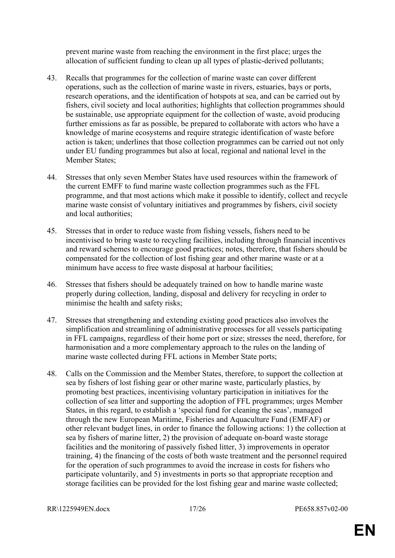prevent marine waste from reaching the environment in the first place; urges the allocation of sufficient funding to clean up all types of plastic-derived pollutants;

- 43. Recalls that programmes for the collection of marine waste can cover different operations, such as the collection of marine waste in rivers, estuaries, bays or ports, research operations, and the identification of hotspots at sea, and can be carried out by fishers, civil society and local authorities; highlights that collection programmes should be sustainable, use appropriate equipment for the collection of waste, avoid producing further emissions as far as possible, be prepared to collaborate with actors who have a knowledge of marine ecosystems and require strategic identification of waste before action is taken; underlines that those collection programmes can be carried out not only under EU funding programmes but also at local, regional and national level in the Member States;
- 44. Stresses that only seven Member States have used resources within the framework of the current EMFF to fund marine waste collection programmes such as the FFL programme, and that most actions which make it possible to identify, collect and recycle marine waste consist of voluntary initiatives and programmes by fishers, civil society and local authorities;
- 45. Stresses that in order to reduce waste from fishing vessels, fishers need to be incentivised to bring waste to recycling facilities, including through financial incentives and reward schemes to encourage good practices; notes, therefore, that fishers should be compensated for the collection of lost fishing gear and other marine waste or at a minimum have access to free waste disposal at harbour facilities;
- 46. Stresses that fishers should be adequately trained on how to handle marine waste properly during collection, landing, disposal and delivery for recycling in order to minimise the health and safety risks;
- 47. Stresses that strengthening and extending existing good practices also involves the simplification and streamlining of administrative processes for all vessels participating in FFL campaigns, regardless of their home port or size; stresses the need, therefore, for harmonisation and a more complementary approach to the rules on the landing of marine waste collected during FFL actions in Member State ports;
- 48. Calls on the Commission and the Member States, therefore, to support the collection at sea by fishers of lost fishing gear or other marine waste, particularly plastics, by promoting best practices, incentivising voluntary participation in initiatives for the collection of sea litter and supporting the adoption of FFL programmes; urges Member States, in this regard, to establish a 'special fund for cleaning the seas', managed through the new European Maritime, Fisheries and Aquaculture Fund (EMFAF) or other relevant budget lines, in order to finance the following actions: 1) the collection at sea by fishers of marine litter, 2) the provision of adequate on-board waste storage facilities and the monitoring of passively fished litter, 3) improvements in operator training, 4) the financing of the costs of both waste treatment and the personnel required for the operation of such programmes to avoid the increase in costs for fishers who participate voluntarily, and 5) investments in ports so that appropriate reception and storage facilities can be provided for the lost fishing gear and marine waste collected;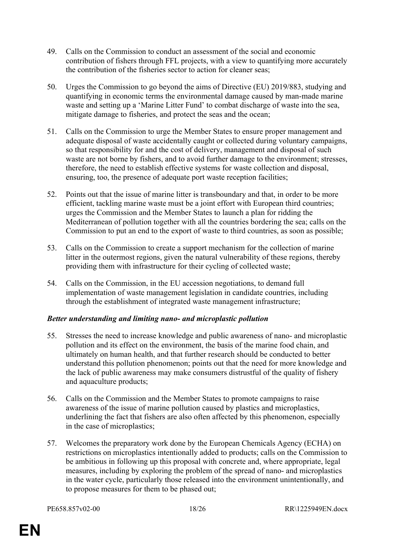- 49. Calls on the Commission to conduct an assessment of the social and economic contribution of fishers through FFL projects, with a view to quantifying more accurately the contribution of the fisheries sector to action for cleaner seas;
- 50. Urges the Commission to go beyond the aims of Directive (EU) 2019/883, studying and quantifying in economic terms the environmental damage caused by man-made marine waste and setting up a 'Marine Litter Fund' to combat discharge of waste into the sea, mitigate damage to fisheries, and protect the seas and the ocean;
- 51. Calls on the Commission to urge the Member States to ensure proper management and adequate disposal of waste accidentally caught or collected during voluntary campaigns, so that responsibility for and the cost of delivery, management and disposal of such waste are not borne by fishers, and to avoid further damage to the environment; stresses, therefore, the need to establish effective systems for waste collection and disposal, ensuring, too, the presence of adequate port waste reception facilities;
- 52. Points out that the issue of marine litter is transboundary and that, in order to be more efficient, tackling marine waste must be a joint effort with European third countries; urges the Commission and the Member States to launch a plan for ridding the Mediterranean of pollution together with all the countries bordering the sea; calls on the Commission to put an end to the export of waste to third countries, as soon as possible;
- 53. Calls on the Commission to create a support mechanism for the collection of marine litter in the outermost regions, given the natural vulnerability of these regions, thereby providing them with infrastructure for their cycling of collected waste;
- 54. Calls on the Commission, in the EU accession negotiations, to demand full implementation of waste management legislation in candidate countries, including through the establishment of integrated waste management infrastructure;

#### *Better understanding and limiting nano- and microplastic pollution*

- 55. Stresses the need to increase knowledge and public awareness of nano- and microplastic pollution and its effect on the environment, the basis of the marine food chain, and ultimately on human health, and that further research should be conducted to better understand this pollution phenomenon; points out that the need for more knowledge and the lack of public awareness may make consumers distrustful of the quality of fishery and aquaculture products;
- 56. Calls on the Commission and the Member States to promote campaigns to raise awareness of the issue of marine pollution caused by plastics and microplastics, underlining the fact that fishers are also often affected by this phenomenon, especially in the case of microplastics;
- 57. Welcomes the preparatory work done by the European Chemicals Agency (ECHA) on restrictions on microplastics intentionally added to products; calls on the Commission to be ambitious in following up this proposal with concrete and, where appropriate, legal measures, including by exploring the problem of the spread of nano- and microplastics in the water cycle, particularly those released into the environment unintentionally, and to propose measures for them to be phased out;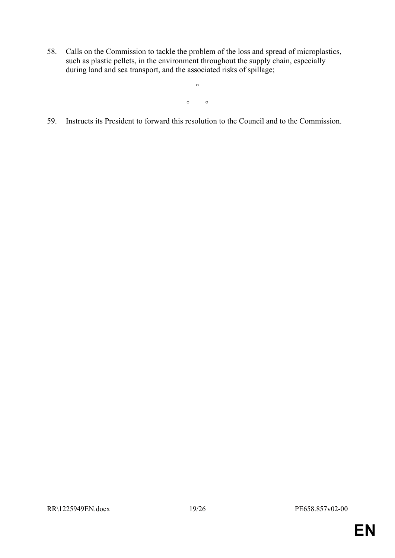58. Calls on the Commission to tackle the problem of the loss and spread of microplastics, such as plastic pellets, in the environment throughout the supply chain, especially during land and sea transport, and the associated risks of spillage;

 $\circ$   $\circ$ 

 $\circ$ 

59. Instructs its President to forward this resolution to the Council and to the Commission.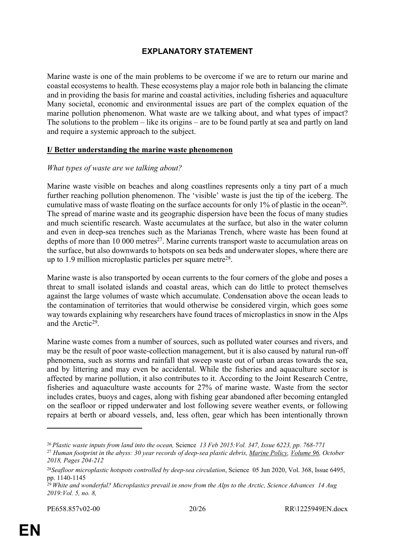## <span id="page-19-0"></span>**EXPLANATORY STATEMENT**

Marine waste is one of the main problems to be overcome if we are to return our marine and coastal ecosystems to health. These ecosystems play a major role both in balancing the climate and in providing the basis for marine and coastal activities, including fisheries and aquaculture Many societal, economic and environmental issues are part of the complex equation of the marine pollution phenomenon. What waste are we talking about, and what types of impact? The solutions to the problem – like its origins – are to be found partly at sea and partly on land and require a systemic approach to the subject.

#### **I/ Better understanding the marine waste phenomenon**

#### *What types of waste are we talking about?*

Marine waste visible on beaches and along coastlines represents only a tiny part of a much further reaching pollution phenomenon. The 'visible' waste is just the tip of the iceberg. The cumulative mass of waste floating on the surface accounts for only  $1\%$  of plastic in the ocean<sup>26</sup>. The spread of marine waste and its geographic dispersion have been the focus of many studies and much scientific research. Waste accumulates at the surface, but also in the water column and even in deep-sea trenches such as the Marianas Trench, where waste has been found at depths of more than 10 000 metres<sup>27</sup>. Marine currents transport waste to accumulation areas on the surface, but also downwards to hotspots on sea beds and underwater slopes, where there are up to 1.9 million microplastic particles per square metre<sup>28</sup>.

Marine waste is also transported by ocean currents to the four corners of the globe and poses a threat to small isolated islands and coastal areas, which can do little to protect themselves against the large volumes of waste which accumulate. Condensation above the ocean leads to the contamination of territories that would otherwise be considered virgin, which goes some way towards explaining why researchers have found traces of microplastics in snow in the Alps and the Arctic<sup>29</sup>.

Marine waste comes from a number of sources, such as polluted water courses and rivers, and may be the result of poor waste-collection management, but it is also caused by natural run-off phenomena, such as storms and rainfall that sweep waste out of urban areas towards the sea, and by littering and may even be accidental. While the fisheries and aquaculture sector is affected by marine pollution, it also contributes to it. According to the Joint Research Centre, fisheries and aquaculture waste accounts for 27% of marine waste. Waste from the sector includes crates, buoys and cages, along with fishing gear abandoned after becoming entangled on the seafloor or ripped underwater and lost following severe weather events, or following repairs at berth or aboard vessels, and, less often, gear which has been intentionally thrown

<sup>26</sup>*Plastic waste inputs from land into the ocean,* Science *13 Feb 2015:Vol. 347, Issue 6223, pp. 768-771* <sup>27</sup> *Human footprint in the abyss: 30 year records of deep-sea plastic debris, [Marine Policy](https://www.sciencedirect.com/science/journal/0308597X), [Volume 96](https://www.sciencedirect.com/science/journal/0308597X/96/supp/C), October 2018, Pages 204-212*

<sup>28</sup>*Seafloor microplastic hotspots controlled by deep-sea circulation*, Science 05 Jun 2020, Vol. 368, Issue 6495, pp. 1140-1145

<sup>29</sup>*White and wonderful? Microplastics prevail in snow from the Alps to the Arctic, Science Advances 14 Aug 2019:Vol. 5, no. 8,*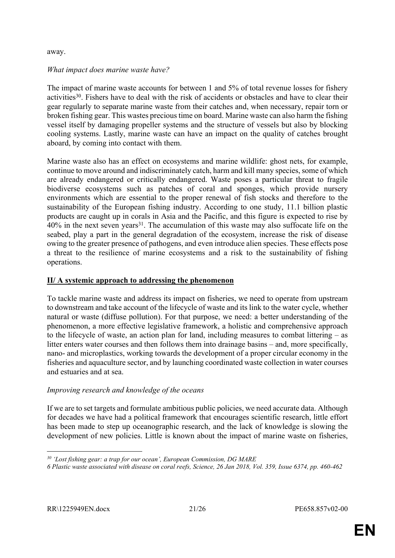#### away.

#### *What impact does marine waste have?*

The impact of marine waste accounts for between 1 and 5% of total revenue losses for fishery activities<sup>30</sup>. Fishers have to deal with the risk of accidents or obstacles and have to clear their gear regularly to separate marine waste from their catches and, when necessary, repair torn or broken fishing gear. This wastes precious time on board. Marine waste can also harm the fishing vessel itself by damaging propeller systems and the structure of vessels but also by blocking cooling systems. Lastly, marine waste can have an impact on the quality of catches brought aboard, by coming into contact with them.

Marine waste also has an effect on ecosystems and marine wildlife: ghost nets, for example, continue to move around and indiscriminately catch, harm and kill many species, some of which are already endangered or critically endangered. Waste poses a particular threat to fragile biodiverse ecosystems such as patches of coral and sponges, which provide nursery environments which are essential to the proper renewal of fish stocks and therefore to the sustainability of the European fishing industry. According to one study, 11.1 billion plastic products are caught up in corals in Asia and the Pacific, and this figure is expected to rise by 40% in the next seven years<sup>31</sup>. The accumulation of this waste may also suffocate life on the seabed, play a part in the general degradation of the ecosystem, increase the risk of disease owing to the greater presence of pathogens, and even introduce alien species. These effects pose a threat to the resilience of marine ecosystems and a risk to the sustainability of fishing operations.

#### **II/ A systemic approach to addressing the phenomenon**

To tackle marine waste and address its impact on fisheries, we need to operate from upstream to downstream and take account of the lifecycle of waste and its link to the water cycle, whether natural or waste (diffuse pollution). For that purpose, we need: a better understanding of the phenomenon, a more effective legislative framework, a holistic and comprehensive approach to the lifecycle of waste, an action plan for land, including measures to combat littering – as litter enters water courses and then follows them into drainage basins – and, more specifically, nano- and microplastics, working towards the development of a proper circular economy in the fisheries and aquaculture sector, and by launching coordinated waste collection in water courses and estuaries and at sea.

#### *Improving research and knowledge of the oceans*

If we are to set targets and formulate ambitious public policies, we need accurate data. Although for decades we have had a political framework that encourages scientific research, little effort has been made to step up oceanographic research, and the lack of knowledge is slowing the development of new policies. Little is known about the impact of marine waste on fisheries,

*<sup>30</sup> 'Lost fishing gear: a trap for our ocean', European Commission, DG MARE*

*<sup>6</sup> Plastic waste associated with disease on coral reefs, Science, 26 Jan 2018, Vol. 359, Issue 6374, pp. 460-462*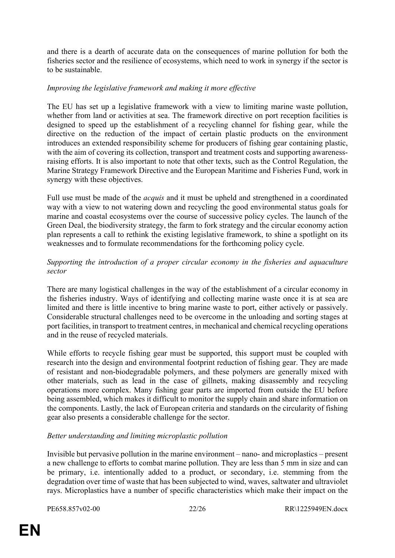and there is a dearth of accurate data on the consequences of marine pollution for both the fisheries sector and the resilience of ecosystems, which need to work in synergy if the sector is to be sustainable.

#### *Improving the legislative framework and making it more effective*

The EU has set up a legislative framework with a view to limiting marine waste pollution, whether from land or activities at sea. The framework directive on port reception facilities is designed to speed up the establishment of a recycling channel for fishing gear, while the directive on the reduction of the impact of certain plastic products on the environment introduces an extended responsibility scheme for producers of fishing gear containing plastic, with the aim of covering its collection, transport and treatment costs and supporting awarenessraising efforts. It is also important to note that other texts, such as the Control Regulation, the Marine Strategy Framework Directive and the European Maritime and Fisheries Fund, work in synergy with these objectives.

Full use must be made of the *acquis* and it must be upheld and strengthened in a coordinated way with a view to not watering down and recycling the good environmental status goals for marine and coastal ecosystems over the course of successive policy cycles. The launch of the Green Deal, the biodiversity strategy, the farm to fork strategy and the circular economy action plan represents a call to rethink the existing legislative framework, to shine a spotlight on its weaknesses and to formulate recommendations for the forthcoming policy cycle.

#### *Supporting the introduction of a proper circular economy in the fisheries and aquaculture sector*

There are many logistical challenges in the way of the establishment of a circular economy in the fisheries industry. Ways of identifying and collecting marine waste once it is at sea are limited and there is little incentive to bring marine waste to port, either actively or passively. Considerable structural challenges need to be overcome in the unloading and sorting stages at port facilities, in transport to treatment centres, in mechanical and chemical recycling operations and in the reuse of recycled materials.

While efforts to recycle fishing gear must be supported, this support must be coupled with research into the design and environmental footprint reduction of fishing gear. They are made of resistant and non-biodegradable polymers, and these polymers are generally mixed with other materials, such as lead in the case of gillnets, making disassembly and recycling operations more complex. Many fishing gear parts are imported from outside the EU before being assembled, which makes it difficult to monitor the supply chain and share information on the components. Lastly, the lack of European criteria and standards on the circularity of fishing gear also presents a considerable challenge for the sector.

#### *Better understanding and limiting microplastic pollution*

Invisible but pervasive pollution in the marine environment – nano- and microplastics – present a new challenge to efforts to combat marine pollution. They are less than 5 mm in size and can be primary, i.e. intentionally added to a product, or secondary, i.e. stemming from the degradation over time of waste that has been subjected to wind, waves, saltwater and ultraviolet rays. Microplastics have a number of specific characteristics which make their impact on the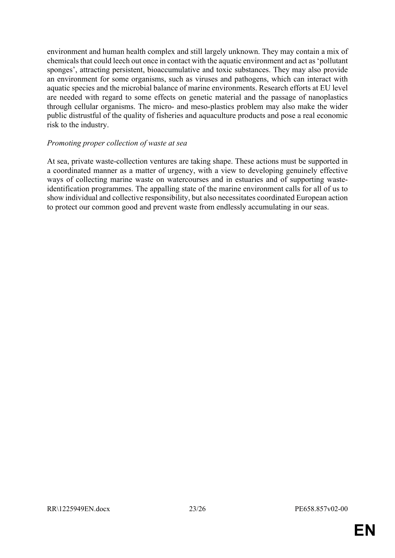environment and human health complex and still largely unknown. They may contain a mix of chemicals that could leech out once in contact with the aquatic environment and act as 'pollutant sponges', attracting persistent, bioaccumulative and toxic substances. They may also provide an environment for some organisms, such as viruses and pathogens, which can interact with aquatic species and the microbial balance of marine environments. Research efforts at EU level are needed with regard to some effects on genetic material and the passage of nanoplastics through cellular organisms. The micro- and meso-plastics problem may also make the wider public distrustful of the quality of fisheries and aquaculture products and pose a real economic risk to the industry.

#### *Promoting proper collection of waste at sea*

At sea, private waste-collection ventures are taking shape. These actions must be supported in a coordinated manner as a matter of urgency, with a view to developing genuinely effective ways of collecting marine waste on watercourses and in estuaries and of supporting wasteidentification programmes. The appalling state of the marine environment calls for all of us to show individual and collective responsibility, but also necessitates coordinated European action to protect our common good and prevent waste from endlessly accumulating in our seas.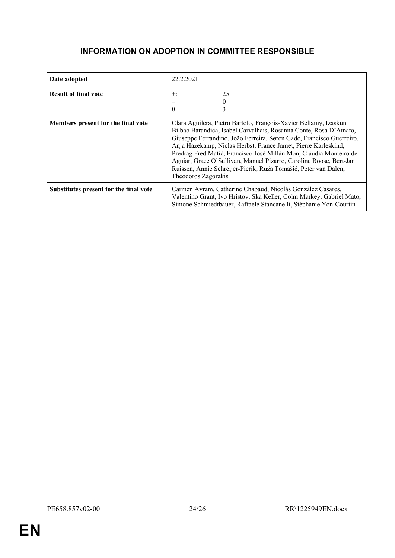# <span id="page-23-0"></span>**INFORMATION ON ADOPTION IN COMMITTEE RESPONSIBLE**

| Date adopted                           | 22.2.2021                                                                                                                                                                                                                                                                                                                                                                                                                                                                                                             |
|----------------------------------------|-----------------------------------------------------------------------------------------------------------------------------------------------------------------------------------------------------------------------------------------------------------------------------------------------------------------------------------------------------------------------------------------------------------------------------------------------------------------------------------------------------------------------|
| <b>Result of final vote</b>            | 25<br>$+:$<br>$\mathbf{0}$ :                                                                                                                                                                                                                                                                                                                                                                                                                                                                                          |
| Members present for the final vote     | Clara Aguilera, Pietro Bartolo, François-Xavier Bellamy, Izaskun<br>Bilbao Barandica, Isabel Carvalhais, Rosanna Conte, Rosa D'Amato,<br>Giuseppe Ferrandino, João Ferreira, Søren Gade, Francisco Guerreiro,<br>Anja Hazekamp, Niclas Herbst, France Jamet, Pierre Karleskind,<br>Predrag Fred Matić, Francisco José Millán Mon, Cláudia Monteiro de<br>Aguiar, Grace O'Sullivan, Manuel Pizarro, Caroline Roose, Bert-Jan<br>Ruissen, Annie Schreijer-Pierik, Ruža Tomašić, Peter van Dalen,<br>Theodoros Zagorakis |
| Substitutes present for the final vote | Carmen Avram, Catherine Chabaud, Nicolás González Casares,<br>Valentino Grant, Ivo Hristov, Ska Keller, Colm Markey, Gabriel Mato,<br>Simone Schmiedtbauer, Raffaele Stancanelli, Stéphanie Yon-Courtin                                                                                                                                                                                                                                                                                                               |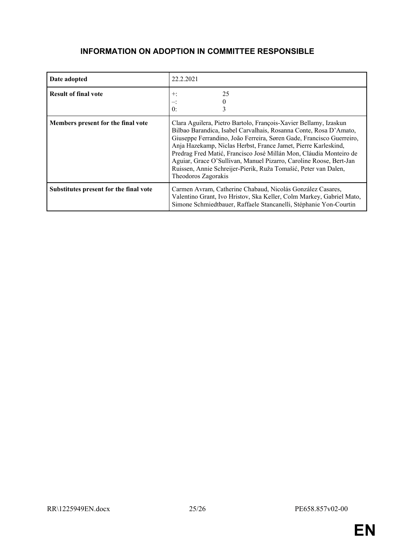# <span id="page-24-0"></span>**INFORMATION ON ADOPTION IN COMMITTEE RESPONSIBLE**

| Date adopted                           | 22.2.2021                                                                                                                                                                                                                                                                                                                                                                                                                                                                                                             |
|----------------------------------------|-----------------------------------------------------------------------------------------------------------------------------------------------------------------------------------------------------------------------------------------------------------------------------------------------------------------------------------------------------------------------------------------------------------------------------------------------------------------------------------------------------------------------|
| <b>Result of final vote</b>            | 25<br>$+:$<br>$\theta$ :                                                                                                                                                                                                                                                                                                                                                                                                                                                                                              |
| Members present for the final vote     | Clara Aguilera, Pietro Bartolo, François-Xavier Bellamy, Izaskun<br>Bilbao Barandica, Isabel Carvalhais, Rosanna Conte, Rosa D'Amato,<br>Giuseppe Ferrandino, João Ferreira, Søren Gade, Francisco Guerreiro,<br>Anja Hazekamp, Niclas Herbst, France Jamet, Pierre Karleskind,<br>Predrag Fred Matić, Francisco José Millán Mon, Cláudia Monteiro de<br>Aguiar, Grace O'Sullivan, Manuel Pizarro, Caroline Roose, Bert-Jan<br>Ruissen, Annie Schreijer-Pierik, Ruža Tomašić, Peter van Dalen,<br>Theodoros Zagorakis |
| Substitutes present for the final vote | Carmen Avram, Catherine Chabaud, Nicolás González Casares,<br>Valentino Grant, Ivo Hristov, Ska Keller, Colm Markey, Gabriel Mato,<br>Simone Schmiedtbauer, Raffaele Stancanelli, Stéphanie Yon-Courtin                                                                                                                                                                                                                                                                                                               |